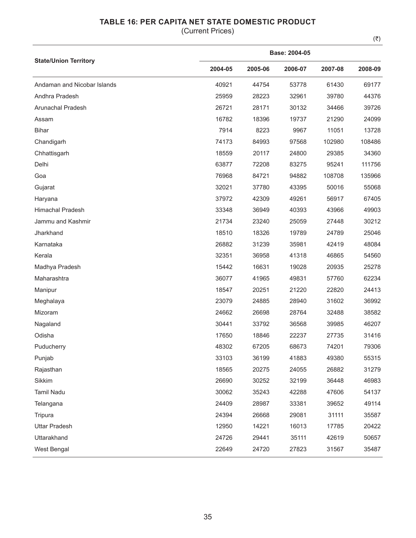## **TABLE 16: PER CAPITA NET STATE DOMESTIC PRODUCT**

(Current Prices)

 $(\overline{\overline{\zeta}})$ 

|                              | Base: 2004-05 |         |         |         |         |  |  |
|------------------------------|---------------|---------|---------|---------|---------|--|--|
| <b>State/Union Territory</b> | 2004-05       | 2005-06 | 2006-07 | 2007-08 | 2008-09 |  |  |
| Andaman and Nicobar Islands  | 40921         | 44754   | 53778   | 61430   | 69177   |  |  |
| Andhra Pradesh               | 25959         | 28223   | 32961   | 39780   | 44376   |  |  |
| Arunachal Pradesh            | 26721         | 28171   | 30132   | 34466   | 39726   |  |  |
| Assam                        | 16782         | 18396   | 19737   | 21290   | 24099   |  |  |
| <b>Bihar</b>                 | 7914          | 8223    | 9967    | 11051   | 13728   |  |  |
| Chandigarh                   | 74173         | 84993   | 97568   | 102980  | 108486  |  |  |
| Chhattisgarh                 | 18559         | 20117   | 24800   | 29385   | 34360   |  |  |
| Delhi                        | 63877         | 72208   | 83275   | 95241   | 111756  |  |  |
| Goa                          | 76968         | 84721   | 94882   | 108708  | 135966  |  |  |
| Gujarat                      | 32021         | 37780   | 43395   | 50016   | 55068   |  |  |
| Haryana                      | 37972         | 42309   | 49261   | 56917   | 67405   |  |  |
| <b>Himachal Pradesh</b>      | 33348         | 36949   | 40393   | 43966   | 49903   |  |  |
| Jammu and Kashmir            | 21734         | 23240   | 25059   | 27448   | 30212   |  |  |
| Jharkhand                    | 18510         | 18326   | 19789   | 24789   | 25046   |  |  |
| Karnataka                    | 26882         | 31239   | 35981   | 42419   | 48084   |  |  |
| Kerala                       | 32351         | 36958   | 41318   | 46865   | 54560   |  |  |
| Madhya Pradesh               | 15442         | 16631   | 19028   | 20935   | 25278   |  |  |
| Maharashtra                  | 36077         | 41965   | 49831   | 57760   | 62234   |  |  |
| Manipur                      | 18547         | 20251   | 21220   | 22820   | 24413   |  |  |
| Meghalaya                    | 23079         | 24885   | 28940   | 31602   | 36992   |  |  |
| Mizoram                      | 24662         | 26698   | 28764   | 32488   | 38582   |  |  |
| Nagaland                     | 30441         | 33792   | 36568   | 39985   | 46207   |  |  |
| Odisha                       | 17650         | 18846   | 22237   | 27735   | 31416   |  |  |
| Puducherry                   | 48302         | 67205   | 68673   | 74201   | 79306   |  |  |
| Punjab                       | 33103         | 36199   | 41883   | 49380   | 55315   |  |  |
| Rajasthan                    | 18565         | 20275   | 24055   | 26882   | 31279   |  |  |
| Sikkim                       | 26690         | 30252   | 32199   | 36448   | 46983   |  |  |
| <b>Tamil Nadu</b>            | 30062         | 35243   | 42288   | 47606   | 54137   |  |  |
| Telangana                    | 24409         | 28987   | 33381   | 39652   | 49114   |  |  |
| Tripura                      | 24394         | 26668   | 29081   | 31111   | 35587   |  |  |
| <b>Uttar Pradesh</b>         | 12950         | 14221   | 16013   | 17785   | 20422   |  |  |
| Uttarakhand                  | 24726         | 29441   | 35111   | 42619   | 50657   |  |  |
| West Bengal                  | 22649         | 24720   | 27823   | 31567   | 35487   |  |  |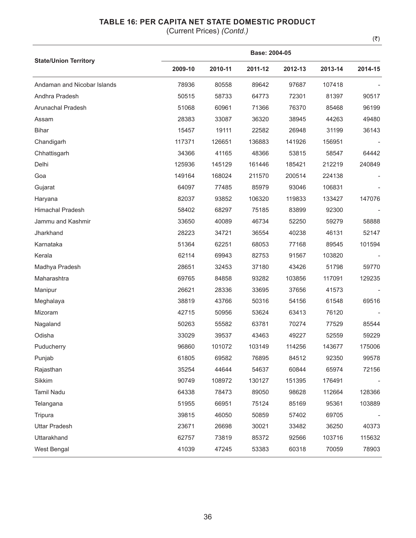## **TABLE 16: PER CAPITA NET STATE DOMESTIC PRODUCT**

(Current Prices) *(Contd.)*

|                              |         | Base: 2004-05 |         |         |         |         |  |  |  |
|------------------------------|---------|---------------|---------|---------|---------|---------|--|--|--|
| <b>State/Union Territory</b> | 2009-10 | 2010-11       | 2011-12 | 2012-13 | 2013-14 | 2014-15 |  |  |  |
| Andaman and Nicobar Islands  | 78936   | 80558         | 89642   | 97687   | 107418  |         |  |  |  |
| Andhra Pradesh               | 50515   | 58733         | 64773   | 72301   | 81397   | 90517   |  |  |  |
| Arunachal Pradesh            | 51068   | 60961         | 71366   | 76370   | 85468   | 96199   |  |  |  |
| Assam                        | 28383   | 33087         | 36320   | 38945   | 44263   | 49480   |  |  |  |
| <b>Bihar</b>                 | 15457   | 19111         | 22582   | 26948   | 31199   | 36143   |  |  |  |
| Chandigarh                   | 117371  | 126651        | 136883  | 141926  | 156951  |         |  |  |  |
| Chhattisgarh                 | 34366   | 41165         | 48366   | 53815   | 58547   | 64442   |  |  |  |
| Delhi                        | 125936  | 145129        | 161446  | 185421  | 212219  | 240849  |  |  |  |
| Goa                          | 149164  | 168024        | 211570  | 200514  | 224138  |         |  |  |  |
| Gujarat                      | 64097   | 77485         | 85979   | 93046   | 106831  |         |  |  |  |
| Haryana                      | 82037   | 93852         | 106320  | 119833  | 133427  | 147076  |  |  |  |
| Himachal Pradesh             | 58402   | 68297         | 75185   | 83899   | 92300   |         |  |  |  |
| Jammu and Kashmir            | 33650   | 40089         | 46734   | 52250   | 59279   | 58888   |  |  |  |
| Jharkhand                    | 28223   | 34721         | 36554   | 40238   | 46131   | 52147   |  |  |  |
| Karnataka                    | 51364   | 62251         | 68053   | 77168   | 89545   | 101594  |  |  |  |
| Kerala                       | 62114   | 69943         | 82753   | 91567   | 103820  |         |  |  |  |
| Madhya Pradesh               | 28651   | 32453         | 37180   | 43426   | 51798   | 59770   |  |  |  |
| Maharashtra                  | 69765   | 84858         | 93282   | 103856  | 117091  | 129235  |  |  |  |
| Manipur                      | 26621   | 28336         | 33695   | 37656   | 41573   |         |  |  |  |
| Meghalaya                    | 38819   | 43766         | 50316   | 54156   | 61548   | 69516   |  |  |  |
| Mizoram                      | 42715   | 50956         | 53624   | 63413   | 76120   |         |  |  |  |
| Nagaland                     | 50263   | 55582         | 63781   | 70274   | 77529   | 85544   |  |  |  |
| Odisha                       | 33029   | 39537         | 43463   | 49227   | 52559   | 59229   |  |  |  |
| Puducherry                   | 96860   | 101072        | 103149  | 114256  | 143677  | 175006  |  |  |  |
| Punjab                       | 61805   | 69582         | 76895   | 84512   | 92350   | 99578   |  |  |  |
| Rajasthan                    | 35254   | 44644         | 54637   | 60844   | 65974   | 72156   |  |  |  |
| Sikkim                       | 90749   | 108972        | 130127  | 151395  | 176491  |         |  |  |  |
| <b>Tamil Nadu</b>            | 64338   | 78473         | 89050   | 98628   | 112664  | 128366  |  |  |  |
| Telangana                    | 51955   | 66951         | 75124   | 85169   | 95361   | 103889  |  |  |  |
| Tripura                      | 39815   | 46050         | 50859   | 57402   | 69705   |         |  |  |  |
| <b>Uttar Pradesh</b>         | 23671   | 26698         | 30021   | 33482   | 36250   | 40373   |  |  |  |
| Uttarakhand                  | 62757   | 73819         | 85372   | 92566   | 103716  | 115632  |  |  |  |
| West Bengal                  | 41039   | 47245         | 53383   | 60318   | 70059   | 78903   |  |  |  |

 $(\overline{\zeta})$